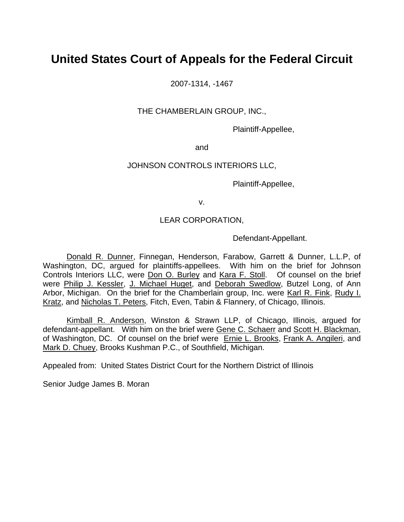# **United States Court of Appeals for the Federal Circuit**

2007-1314, -1467

THE CHAMBERLAIN GROUP, INC.,

Plaintiff-Appellee,

and

### JOHNSON CONTROLS INTERIORS LLC,

Plaintiff-Appellee,

v.

## LEAR CORPORATION,

Defendant-Appellant.

 Donald R. Dunner, Finnegan, Henderson, Farabow, Garrett & Dunner, L.L.P, of Washington, DC, argued for plaintiffs-appellees. With him on the brief for Johnson Controls Interiors LLC, were Don O. Burley and Kara F. Stoll. Of counsel on the brief were Philip J. Kessler, J. Michael Huget, and Deborah Swedlow, Butzel Long, of Ann Arbor, Michigan. On the brief for the Chamberlain group, Inc. were Karl R. Fink, Rudy I. Kratz, and Nicholas T. Peters, Fitch, Even, Tabin & Flannery, of Chicago, Illinois.

 Kimball R. Anderson, Winston & Strawn LLP, of Chicago, Illinois, argued for defendant-appellant. With him on the brief were Gene C. Schaerr and Scott H. Blackman, of Washington, DC. Of counsel on the brief were Ernie L. Brooks, Frank A. Angileri, and Mark D. Chuey, Brooks Kushman P.C., of Southfield, Michigan.

Appealed from: United States District Court for the Northern District of Illinois

Senior Judge James B. Moran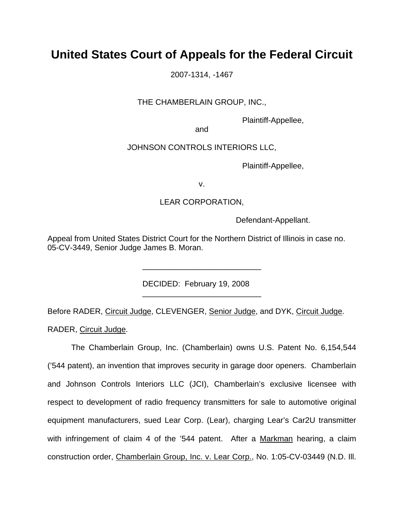# **United States Court of Appeals for the Federal Circuit**

2007-1314, -1467

### THE CHAMBERLAIN GROUP, INC.,

Plaintiff-Appellee,

and

#### JOHNSON CONTROLS INTERIORS LLC,

Plaintiff-Appellee,

v.

#### LEAR CORPORATION,

Defendant-Appellant.

Appeal from United States District Court for the Northern District of Illinois in case no. 05-CV-3449, Senior Judge James B. Moran.

DECIDED: February 19, 2008

\_\_\_\_\_\_\_\_\_\_\_\_\_\_\_\_\_\_\_\_\_\_\_\_\_\_\_

\_\_\_\_\_\_\_\_\_\_\_\_\_\_\_\_\_\_\_\_\_\_\_\_\_\_\_

Before RADER, Circuit Judge, CLEVENGER, Senior Judge, and DYK, Circuit Judge.

RADER, Circuit Judge.

 The Chamberlain Group, Inc. (Chamberlain) owns U.S. Patent No. 6,154,544 ('544 patent), an invention that improves security in garage door openers. Chamberlain and Johnson Controls Interiors LLC (JCI), Chamberlain's exclusive licensee with respect to development of radio frequency transmitters for sale to automotive original equipment manufacturers, sued Lear Corp. (Lear), charging Lear's Car2U transmitter with infringement of claim 4 of the '544 patent. After a Markman hearing, a claim construction order, Chamberlain Group, Inc. v. Lear Corp., No. 1:05-CV-03449 (N.D. Ill.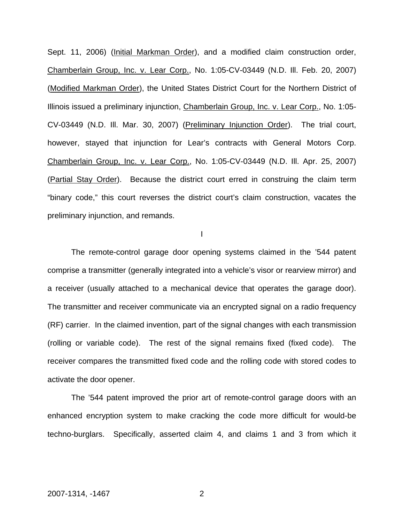Sept. 11, 2006) (Initial Markman Order), and a modified claim construction order, Chamberlain Group, Inc. v. Lear Corp., No. 1:05-CV-03449 (N.D. Ill. Feb. 20, 2007) (Modified Markman Order), the United States District Court for the Northern District of Illinois issued a preliminary injunction, Chamberlain Group, Inc. v. Lear Corp., No. 1:05- CV-03449 (N.D. Ill. Mar. 30, 2007) (Preliminary Injunction Order). The trial court, however, stayed that injunction for Lear's contracts with General Motors Corp. Chamberlain Group, Inc. v. Lear Corp., No. 1:05-CV-03449 (N.D. Ill. Apr. 25, 2007) (Partial Stay Order). Because the district court erred in construing the claim term "binary code," this court reverses the district court's claim construction, vacates the preliminary injunction, and remands.

I

The remote-control garage door opening systems claimed in the '544 patent comprise a transmitter (generally integrated into a vehicle's visor or rearview mirror) and a receiver (usually attached to a mechanical device that operates the garage door). The transmitter and receiver communicate via an encrypted signal on a radio frequency (RF) carrier. In the claimed invention, part of the signal changes with each transmission (rolling or variable code). The rest of the signal remains fixed (fixed code). The receiver compares the transmitted fixed code and the rolling code with stored codes to activate the door opener.

The '544 patent improved the prior art of remote-control garage doors with an enhanced encryption system to make cracking the code more difficult for would-be techno-burglars. Specifically, asserted claim 4, and claims 1 and 3 from which it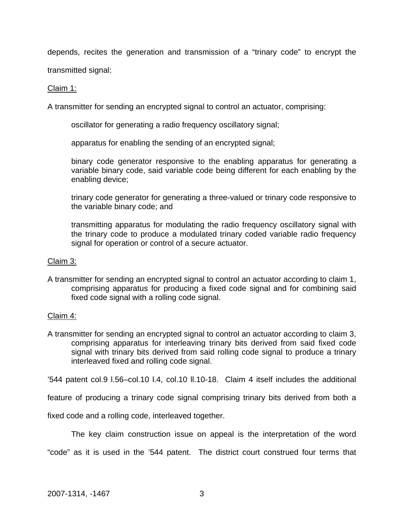depends, recites the generation and transmission of a "trinary code" to encrypt the

transmitted signal:

## Claim 1:

A transmitter for sending an encrypted signal to control an actuator, comprising:

oscillator for generating a radio frequency oscillatory signal;

apparatus for enabling the sending of an encrypted signal;

binary code generator responsive to the enabling apparatus for generating a variable binary code, said variable code being different for each enabling by the enabling device;

trinary code generator for generating a three-valued or trinary code responsive to the variable binary code; and

transmitting apparatus for modulating the radio frequency oscillatory signal with the trinary code to produce a modulated trinary coded variable radio frequency signal for operation or control of a secure actuator.

### Claim 3:

A transmitter for sending an encrypted signal to control an actuator according to claim 1, comprising apparatus for producing a fixed code signal and for combining said fixed code signal with a rolling code signal.

### Claim 4:

A transmitter for sending an encrypted signal to control an actuator according to claim 3, comprising apparatus for interleaving trinary bits derived from said fixed code signal with trinary bits derived from said rolling code signal to produce a trinary interleaved fixed and rolling code signal.

'544 patent col.9 l.56–col.10 l.4, col.10 ll.10-18. Claim 4 itself includes the additional

feature of producing a trinary code signal comprising trinary bits derived from both a

fixed code and a rolling code, interleaved together.

The key claim construction issue on appeal is the interpretation of the word "code" as it is used in the '544 patent. The district court construed four terms that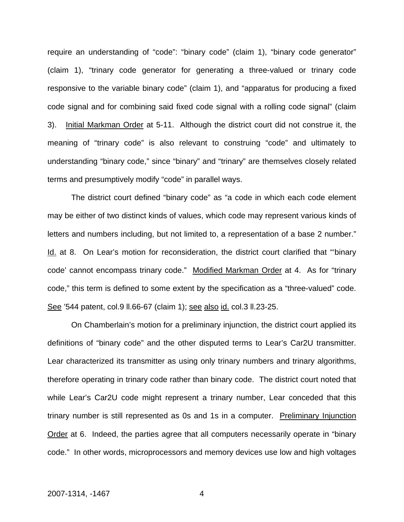require an understanding of "code": "binary code" (claim 1), "binary code generator" (claim 1), "trinary code generator for generating a three-valued or trinary code responsive to the variable binary code" (claim 1), and "apparatus for producing a fixed code signal and for combining said fixed code signal with a rolling code signal" (claim 3). Initial Markman Order at 5-11. Although the district court did not construe it, the meaning of "trinary code" is also relevant to construing "code" and ultimately to understanding "binary code," since "binary" and "trinary" are themselves closely related terms and presumptively modify "code" in parallel ways.

The district court defined "binary code" as "a code in which each code element may be either of two distinct kinds of values, which code may represent various kinds of letters and numbers including, but not limited to, a representation of a base 2 number." Id. at 8. On Lear's motion for reconsideration, the district court clarified that "'binary code' cannot encompass trinary code." Modified Markman Order at 4. As for "trinary code," this term is defined to some extent by the specification as a "three-valued" code. See '544 patent, col.9 ll.66-67 (claim 1); see also id. col.3 ll.23-25.

On Chamberlain's motion for a preliminary injunction, the district court applied its definitions of "binary code" and the other disputed terms to Lear's Car2U transmitter. Lear characterized its transmitter as using only trinary numbers and trinary algorithms, therefore operating in trinary code rather than binary code. The district court noted that while Lear's Car2U code might represent a trinary number, Lear conceded that this trinary number is still represented as 0s and 1s in a computer. Preliminary Injunction Order at 6. Indeed, the parties agree that all computers necessarily operate in "binary code." In other words, microprocessors and memory devices use low and high voltages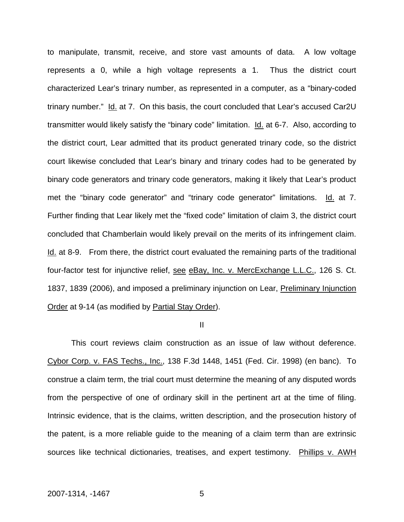to manipulate, transmit, receive, and store vast amounts of data. A low voltage represents a 0, while a high voltage represents a 1. Thus the district court characterized Lear's trinary number, as represented in a computer, as a "binary-coded trinary number." Id. at 7. On this basis, the court concluded that Lear's accused Car2U transmitter would likely satisfy the "binary code" limitation. Id. at 6-7. Also, according to the district court, Lear admitted that its product generated trinary code, so the district court likewise concluded that Lear's binary and trinary codes had to be generated by binary code generators and trinary code generators, making it likely that Lear's product met the "binary code generator" and "trinary code generator" limitations. Id. at 7. Further finding that Lear likely met the "fixed code" limitation of claim 3, the district court concluded that Chamberlain would likely prevail on the merits of its infringement claim. Id. at 8-9. From there, the district court evaluated the remaining parts of the traditional four-factor test for injunctive relief, see eBay, Inc. v. MercExchange L.L.C., 126 S. Ct. 1837, 1839 (2006), and imposed a preliminary injunction on Lear, Preliminary Injunction Order at 9-14 (as modified by Partial Stay Order).

II

This court reviews claim construction as an issue of law without deference. Cybor Corp. v. FAS Techs., Inc., 138 F.3d 1448, 1451 (Fed. Cir. 1998) (en banc). To construe a claim term, the trial court must determine the meaning of any disputed words from the perspective of one of ordinary skill in the pertinent art at the time of filing. Intrinsic evidence, that is the claims, written description, and the prosecution history of the patent, is a more reliable guide to the meaning of a claim term than are extrinsic sources like technical dictionaries, treatises, and expert testimony. Phillips v. AWH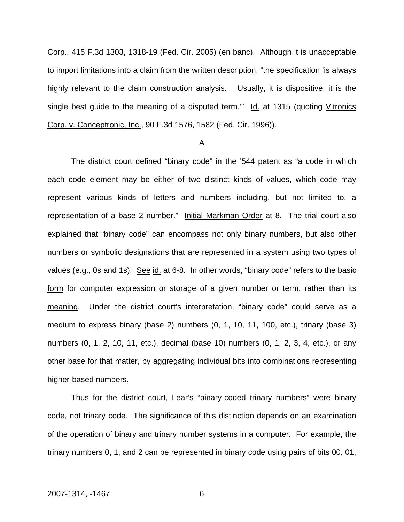Corp., 415 F.3d 1303, 1318-19 (Fed. Cir. 2005) (en banc). Although it is unacceptable to import limitations into a claim from the written description, "the specification 'is always highly relevant to the claim construction analysis. Usually, it is dispositive; it is the single best guide to the meaning of a disputed term." Id. at 1315 (quoting Vitronics Corp. v. Conceptronic, Inc., 90 F.3d 1576, 1582 (Fed. Cir. 1996)).

#### A

The district court defined "binary code" in the '544 patent as "a code in which each code element may be either of two distinct kinds of values, which code may represent various kinds of letters and numbers including, but not limited to, a representation of a base 2 number." Initial Markman Order at 8. The trial court also explained that "binary code" can encompass not only binary numbers, but also other numbers or symbolic designations that are represented in a system using two types of values (e.g., 0s and 1s). See id. at 6-8. In other words, "binary code" refers to the basic form for computer expression or storage of a given number or term, rather than its meaning. Under the district court's interpretation, "binary code" could serve as a medium to express binary (base 2) numbers (0, 1, 10, 11, 100, etc.), trinary (base 3) numbers (0, 1, 2, 10, 11, etc.), decimal (base 10) numbers (0, 1, 2, 3, 4, etc.), or any other base for that matter, by aggregating individual bits into combinations representing higher-based numbers.

Thus for the district court, Lear's "binary-coded trinary numbers" were binary code, not trinary code. The significance of this distinction depends on an examination of the operation of binary and trinary number systems in a computer. For example, the trinary numbers 0, 1, and 2 can be represented in binary code using pairs of bits 00, 01,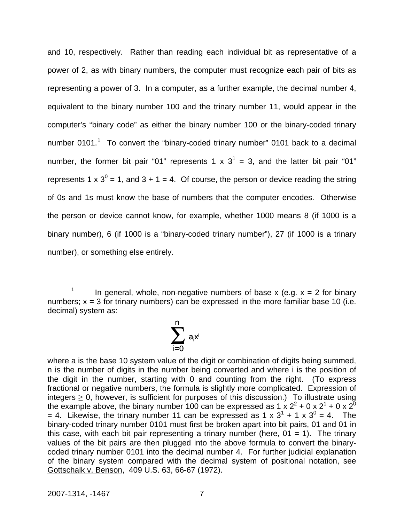and 10, respectively. Rather than reading each individual bit as representative of a power of 2, as with binary numbers, the computer must recognize each pair of bits as representing a power of 3. In a computer, as a further example, the decimal number 4, equivalent to the binary number 100 and the trinary number 11, would appear in the computer's "binary code" as either the binary number 100 or the binary-coded trinary number 0[1](#page-7-0)01.<sup>1</sup> To convert the "binary-coded trinary number" 0101 back to a decimal number, the former bit pair "01" represents 1 x  $3^1$  = 3, and the latter bit pair "01" represents 1 x  $3^0$  = 1, and 3 + 1 = 4. Of course, the person or device reading the string of 0s and 1s must know the base of numbers that the computer encodes. Otherwise the person or device cannot know, for example, whether 1000 means 8 (if 1000 is a binary number), 6 (if 1000 is a "binary-coded trinary number"), 27 (if 1000 is a trinary number), or something else entirely.

<span id="page-7-0"></span> <sup>1</sup> In general, whole, non-negative numbers of base x (e.g.  $x = 2$  for binary numbers;  $x = 3$  for trinary numbers) can be expressed in the more familiar base 10 (i.e. decimal) system as:



where a is the base 10 system value of the digit or combination of digits being summed, n is the number of digits in the number being converted and where i is the position of the digit in the number, starting with 0 and counting from the right. (To express fractional or negative numbers, the formula is slightly more complicated. Expression of integers  $\geq 0$ , however, is sufficient for purposes of this discussion.) To illustrate using the example above, the binary number 100 can be expressed as 1 x 2<sup>2</sup> + 0 x 2<sup>1</sup> + 0 x 2<sup>0</sup> = 4. Likewise, the trinary number 11 can be expressed as 1 x  $3^1$  + 1 x  $3^0$  = 4. The binary-coded trinary number 0101 must first be broken apart into bit pairs, 01 and 01 in this case, with each bit pair representing a trinary number (here,  $01 = 1$ ). The trinary values of the bit pairs are then plugged into the above formula to convert the binarycoded trinary number 0101 into the decimal number 4. For further judicial explanation of the binary system compared with the decimal system of positional notation, see Gottschalk v. Benson, 409 U.S. 63, 66-67 (1972).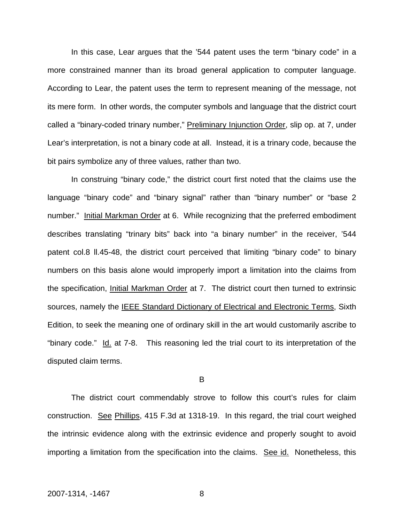In this case, Lear argues that the '544 patent uses the term "binary code" in a more constrained manner than its broad general application to computer language. According to Lear, the patent uses the term to represent meaning of the message, not its mere form. In other words, the computer symbols and language that the district court called a "binary-coded trinary number," Preliminary Injunction Order, slip op. at 7, under Lear's interpretation, is not a binary code at all. Instead, it is a trinary code, because the bit pairs symbolize any of three values, rather than two.

In construing "binary code," the district court first noted that the claims use the language "binary code" and "binary signal" rather than "binary number" or "base 2 number." Initial Markman Order at 6. While recognizing that the preferred embodiment describes translating "trinary bits" back into "a binary number" in the receiver, '544 patent col.8 ll.45-48, the district court perceived that limiting "binary code" to binary numbers on this basis alone would improperly import a limitation into the claims from the specification, Initial Markman Order at 7. The district court then turned to extrinsic sources, namely the **IEEE Standard Dictionary of Electrical and Electronic Terms**, Sixth Edition, to seek the meaning one of ordinary skill in the art would customarily ascribe to "binary code." Id. at 7-8. This reasoning led the trial court to its interpretation of the disputed claim terms.

#### B

The district court commendably strove to follow this court's rules for claim construction. See Phillips, 415 F.3d at 1318-19. In this regard, the trial court weighed the intrinsic evidence along with the extrinsic evidence and properly sought to avoid importing a limitation from the specification into the claims. See id. Nonetheless, this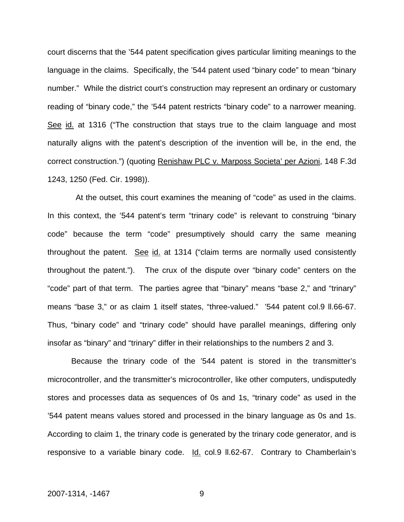court discerns that the '544 patent specification gives particular limiting meanings to the language in the claims. Specifically, the '544 patent used "binary code" to mean "binary number." While the district court's construction may represent an ordinary or customary reading of "binary code," the '544 patent restricts "binary code" to a narrower meaning. See id. at 1316 ("The construction that stays true to the claim language and most naturally aligns with the patent's description of the invention will be, in the end, the correct construction.") (quoting Renishaw PLC v. Marposs Societa' per Azioni, 148 F.3d 1243, 1250 (Fed. Cir. 1998)).

 At the outset, this court examines the meaning of "code" as used in the claims. In this context, the '544 patent's term "trinary code" is relevant to construing "binary code" because the term "code" presumptively should carry the same meaning throughout the patent. See id. at 1314 ("claim terms are normally used consistently throughout the patent."). The crux of the dispute over "binary code" centers on the "code" part of that term. The parties agree that "binary" means "base 2," and "trinary" means "base 3," or as claim 1 itself states, "three-valued." '544 patent col.9 ll.66-67. Thus, "binary code" and "trinary code" should have parallel meanings, differing only insofar as "binary" and "trinary" differ in their relationships to the numbers 2 and 3.

Because the trinary code of the '544 patent is stored in the transmitter's microcontroller, and the transmitter's microcontroller, like other computers, undisputedly stores and processes data as sequences of 0s and 1s, "trinary code" as used in the '544 patent means values stored and processed in the binary language as 0s and 1s. According to claim 1, the trinary code is generated by the trinary code generator, and is responsive to a variable binary code. Id. col.9 II.62-67. Contrary to Chamberlain's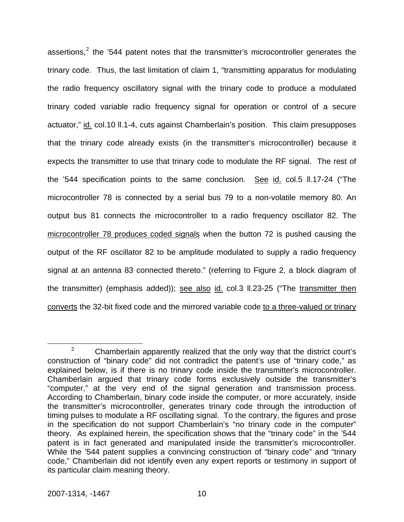assertions,<sup>[2](#page-10-0)</sup> the '544 patent notes that the transmitter's microcontroller generates the trinary code. Thus, the last limitation of claim 1, "transmitting apparatus for modulating the radio frequency oscillatory signal with the trinary code to produce a modulated trinary coded variable radio frequency signal for operation or control of a secure actuator," id. col.10 ll.1-4, cuts against Chamberlain's position. This claim presupposes that the trinary code already exists (in the transmitter's microcontroller) because it expects the transmitter to use that trinary code to modulate the RF signal. The rest of the '544 specification points to the same conclusion. See id. col.5 II.17-24 ("The microcontroller 78 is connected by a serial bus 79 to a non-volatile memory 80. An output bus 81 connects the microcontroller to a radio frequency oscillator 82. The microcontroller 78 produces coded signals when the button 72 is pushed causing the output of the RF oscillator 82 to be amplitude modulated to supply a radio frequency signal at an antenna 83 connected thereto." (referring to Figure 2, a block diagram of the transmitter) (emphasis added)); see also id. col.3 II.23-25 ("The transmitter then converts the 32-bit fixed code and the mirrored variable code to a three-valued or trinary

<span id="page-10-0"></span> $\frac{1}{2}$  $2^2$  Chamberlain apparently realized that the only way that the district court's construction of "binary code" did not contradict the patent's use of "trinary code," as explained below, is if there is no trinary code inside the transmitter's microcontroller. Chamberlain argued that trinary code forms exclusively outside the transmitter's "computer," at the very end of the signal generation and transmission process. According to Chamberlain, binary code inside the computer, or more accurately, inside the transmitter's microcontroller, generates trinary code through the introduction of timing pulses to modulate a RF oscillating signal. To the contrary, the figures and prose in the specification do not support Chamberlain's "no trinary code in the computer" theory. As explained herein, the specification shows that the "trinary code" in the '544 patent is in fact generated and manipulated inside the transmitter's microcontroller. While the '544 patent supplies a convincing construction of "binary code" and "trinary code," Chamberlain did not identify even any expert reports or testimony in support of its particular claim meaning theory.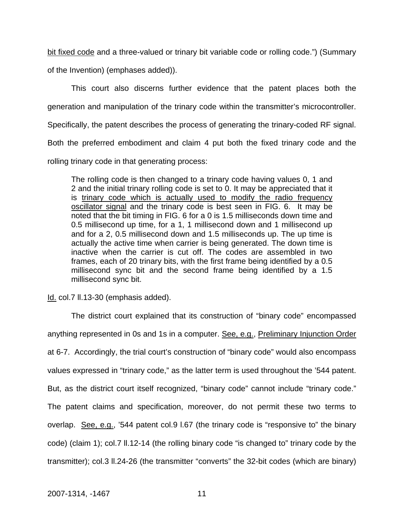bit fixed code and a three-valued or trinary bit variable code or rolling code.") (Summary

of the Invention) (emphases added)).

This court also discerns further evidence that the patent places both the

generation and manipulation of the trinary code within the transmitter's microcontroller.

Specifically, the patent describes the process of generating the trinary-coded RF signal.

Both the preferred embodiment and claim 4 put both the fixed trinary code and the

rolling trinary code in that generating process:

The rolling code is then changed to a trinary code having values 0, 1 and 2 and the initial trinary rolling code is set to 0. It may be appreciated that it is trinary code which is actually used to modify the radio frequency oscillator signal and the trinary code is best seen in FIG. 6. It may be noted that the bit timing in FIG. 6 for a 0 is 1.5 milliseconds down time and 0.5 millisecond up time, for a 1, 1 millisecond down and 1 millisecond up and for a 2, 0.5 millisecond down and 1.5 milliseconds up. The up time is actually the active time when carrier is being generated. The down time is inactive when the carrier is cut off. The codes are assembled in two frames, each of 20 trinary bits, with the first frame being identified by a 0.5 millisecond sync bit and the second frame being identified by a 1.5 millisecond sync bit.

Id. col.7 ll.13-30 (emphasis added).

The district court explained that its construction of "binary code" encompassed anything represented in 0s and 1s in a computer. See, e.g., Preliminary Injunction Order at 6-7. Accordingly, the trial court's construction of "binary code" would also encompass values expressed in "trinary code," as the latter term is used throughout the '544 patent. But, as the district court itself recognized, "binary code" cannot include "trinary code." The patent claims and specification, moreover, do not permit these two terms to overlap. See, e.g., '544 patent col.9 l.67 (the trinary code is "responsive to" the binary code) (claim 1); col.7 ll.12-14 (the rolling binary code "is changed to" trinary code by the transmitter); col.3 ll.24-26 (the transmitter "converts" the 32-bit codes (which are binary)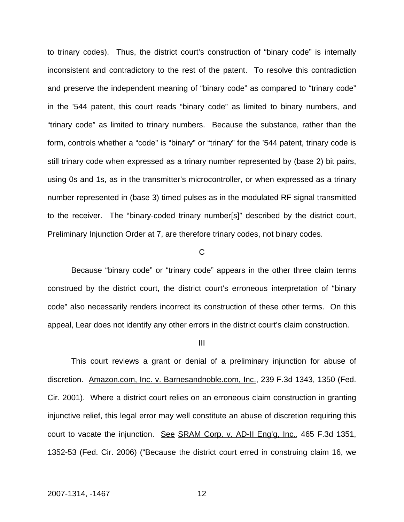to trinary codes). Thus, the district court's construction of "binary code" is internally inconsistent and contradictory to the rest of the patent. To resolve this contradiction and preserve the independent meaning of "binary code" as compared to "trinary code" in the '544 patent, this court reads "binary code" as limited to binary numbers, and "trinary code" as limited to trinary numbers. Because the substance, rather than the form, controls whether a "code" is "binary" or "trinary" for the '544 patent, trinary code is still trinary code when expressed as a trinary number represented by (base 2) bit pairs, using 0s and 1s, as in the transmitter's microcontroller, or when expressed as a trinary number represented in (base 3) timed pulses as in the modulated RF signal transmitted to the receiver. The "binary-coded trinary number[s]" described by the district court, Preliminary Injunction Order at 7, are therefore trinary codes, not binary codes.

#### C

Because "binary code" or "trinary code" appears in the other three claim terms construed by the district court, the district court's erroneous interpretation of "binary code" also necessarily renders incorrect its construction of these other terms. On this appeal, Lear does not identify any other errors in the district court's claim construction.

#### III

This court reviews a grant or denial of a preliminary injunction for abuse of discretion. Amazon.com, Inc. v. Barnesandnoble.com, Inc., 239 F.3d 1343, 1350 (Fed. Cir. 2001). Where a district court relies on an erroneous claim construction in granting injunctive relief, this legal error may well constitute an abuse of discretion requiring this court to vacate the injunction. See SRAM Corp. v. AD-II Eng'g, Inc., 465 F.3d 1351, 1352-53 (Fed. Cir. 2006) ("Because the district court erred in construing claim 16, we